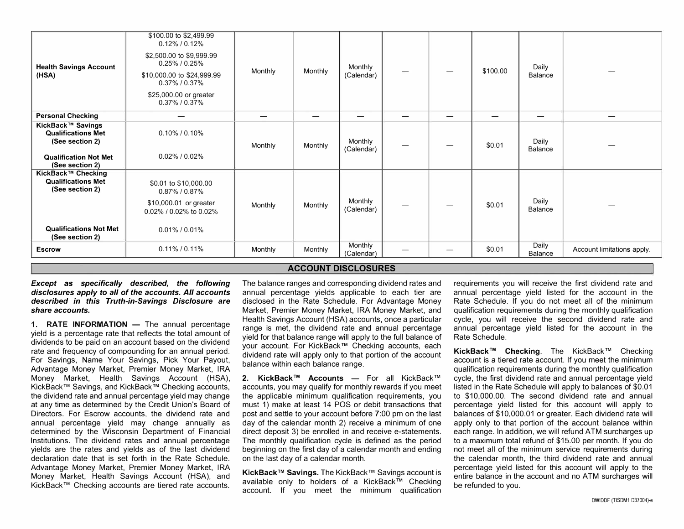| <b>Health Savings Account</b><br>(HSA)                                                                                 | \$100.00 to \$2,499.99<br>$0.15\%$ / $0.15\%$<br>\$2,500.00 to \$9,999.99<br>$0.30\%$ / $0.30\%$<br>\$10,000.00 to \$24,999.99<br>$0.40\%$ / $0.40\%$<br>\$25,000.00 or greater<br>$0.45\%$ / $0.45\%$ | Monthly | Monthly  | Monthly<br>(Calendar) |   |   | \$100.00 | Daily<br>Balance        |                            |
|------------------------------------------------------------------------------------------------------------------------|--------------------------------------------------------------------------------------------------------------------------------------------------------------------------------------------------------|---------|----------|-----------------------|---|---|----------|-------------------------|----------------------------|
| <b>Personal Checking</b>                                                                                               |                                                                                                                                                                                                        |         |          |                       | — | — | —        | —                       |                            |
| KickBack™ Savings<br><b>Qualifications Met</b><br>(See section 2)<br><b>Qualification Not Met</b><br>(See section 2)   | 0.20% / 0.20%<br>$0.10\%$ / $0.10\%$                                                                                                                                                                   | Monthly | Monthly  | Monthly<br>(Calendar) |   |   | \$0.01   | Daily<br>Balance        |                            |
| KickBack™ Checking<br><b>Qualifications Met</b><br>(See section 2)<br><b>Qualifications Not Met</b><br>(See section 2) | \$0.01 to \$10,000.00<br>2.75% / 2.78%<br>\$10,000.01 or greater<br>0.10% / 0.10% to 0.10%<br>$0.01\%$ / $0.01\%$                                                                                      | Monthly | Monthly  | Monthly<br>(Calendar) |   |   | \$0.01   | Daily<br>Balance        |                            |
| <b>Escrow</b>                                                                                                          | $0.09\%$ / $0.09\%$                                                                                                                                                                                    | Monthly | Annually | Monthly<br>(Calendar) |   |   | \$0.01   | Daily<br><b>Balance</b> | Account limitations apply. |

## **ACCOUNT DISCLOSURES**

*Except* **as** *specifically described, the following disclosures apply to all of the accounts. All accounts described in this Truth-in-Savings Disclosure are share accounts.* 

**1. RATE INFORMATION** - The annual percentage yield is a percentage rate that reflects the total amount of dividends to be paid on an account based on the dividend rate and frequency of compounding for an annual period. For Savings, Name Your Savings, Pick Your Payout, Advantage Money Market, Premier Money Market, IRA Money Market, Health Savings Account (HSA), KickBack™ Savings, and KickBack™ Checking accounts, the dividend rate and annual percentage yield may change at any time as determined by the Credit Union's Board of Directors. For Escrow accounts, the dividend rate and annual percentage yield may change annually as determined by the Wisconsin Department of Financial Institutions. The dividend rates and annual percentage yields are the rates and yields as of the last dividend declaration date that is set forth in the Rate Schedule. Advantage Money Market, Premier Money Market, IRA Money Market, Health Savings Account (HSA), and KickBack™ Checking accounts are tiered rate accounts.

The balance ranges and corresponding dividend rates and annual percentage yields applicable to each tier are disclosed in the Rate Schedule. For Advantage Money Market, Premier Money Market, IRA Money Market, and Health Savings Account (HSA) accounts, once a particular range is met, the dividend rate and annual percentage yield for that balance range will apply to the full balance of your account. For KickBack™ Checking accounts, each dividend rate will apply only to that portion of the account balance within each balance range.

**2. KickBack™ Accounts** - For all KickBack™ accounts, you may qualify for monthly rewards if you meet the applicable minimum qualification requirements, you must 1) make at least 14 POS or debit transactions that post and settle to your account before 7:00 pm on the last day of the calendar month 2) receive a minimum of one direct deposit 3) be enrolled in and receive e-statements. The monthly qualification cycle is defined as the period beginning on the first day of a calendar month and ending on the last day of a calendar month.

**KickBack™ Savings.** The KickBack™ Savings account is available only to holders of a KickBack™ Checking account. If you meet the minimum qualification requirements you will receive the first dividend rate and annual percentage yield listed for the account in the Rate Schedule. If you do not meet all of the minimum qualification requirements during the monthly qualification cycle, you will receive the second dividend rate and annual percentage yield listed for the account in the Rate Schedule.

**KickBack™ Checking.** The KickBack™ Checking account is a tiered rate account. If you meet the minimum qualification requirements during the monthly qualification cycle, the first dividend rate and annual percentage yield listed in the Rate Schedule will apply to balances of \$0.01 to \$10,000.00. The second dividend rate and annual percentage yield listed for this account will apply to balances of \$10,000.01 or greater. Each dividend rate will apply only to that portion of the account balance within each range. In addition, we will refund ATM surcharges up to a maximum total refund of \$15.00 per month. If you do not meet all of the minimum service requirements during the calendar month, the third dividend rate and annual percentage yield listed for this account will apply to the entire balance in the account and no ATM surcharges will be refunded to you.